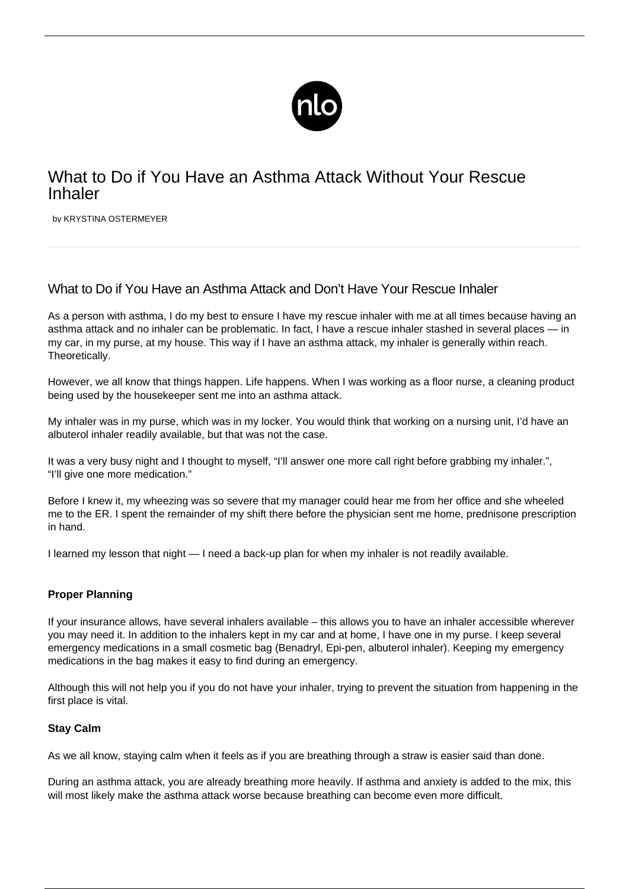

# What to Do if You Have an Asthma Attack Without Your Rescue Inhaler

by KRYSTINA OSTERMEYER

# What to Do if You Have an Asthma Attack and Don't Have Your Rescue Inhaler

As a person with asthma, I do my best to ensure I have my rescue inhaler with me at all times because having an asthma attack and no inhaler can be problematic. In fact, I have a rescue inhaler stashed in several places — in my car, in my purse, at my house. This way if I have an asthma attack, my inhaler is generally within reach. Theoretically.

However, we all know that things happen. Life happens. When I was working as a floor nurse, a cleaning product being used by the housekeeper sent me into an asthma attack.

My inhaler was in my purse, which was in my locker. You would think that working on a nursing unit, I'd have an albuterol inhaler readily available, but that was not the case.

It was a very busy night and I thought to myself, "I'll answer one more call right before grabbing my inhaler.", "I'll give one more medication."

Before I knew it, my wheezing was so severe that my manager could hear me from her office and she wheeled me to the ER. I spent the remainder of my shift there before the physician sent me home, prednisone prescription in hand.

I learned my lesson that night — I need a back-up plan for when my inhaler is not readily available.

## **Proper Planning**

If your insurance allows, have several inhalers available – this allows you to have an inhaler accessible wherever you may need it. In addition to the inhalers kept in my car and at home, I have one in my purse. I keep several emergency medications in a small cosmetic bag (Benadryl, Epi-pen, albuterol inhaler). Keeping my emergency medications in the bag makes it easy to find during an emergency.

Although this will not help you if you do not have your inhaler, trying to prevent the situation from happening in the first place is vital.

### **Stay Calm**

As we all know, staying calm when it feels as if you are breathing through a straw is easier said than done.

During an asthma attack, you are already breathing more heavily. If [asthma and anxiety](/asthma-panic-disorder/) is added to the mix, this will most likely make the asthma attack worse because breathing can become even more difficult.